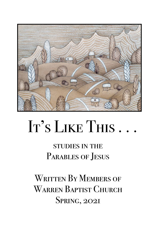

# It's LIKE THIS.

# studies in the PARABLES OF JESUS

WRITTEN BY MEMBERS OF WARREN BAPTIST CHURCH SPRING, 2021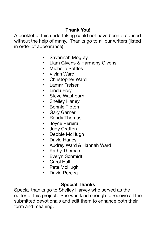# **Thank You!**

A booklet of this undertaking could not have been produced without the help of many. Thanks go to all our writers (listed in order of appearance):

- Savannah Mogray
- Liam Givens & Harmony Givens
- Michelle Settles
- Vivian Ward
- Christopher Ward
- Lamar Freisen
- **Linda Frev**
- Steve Washburn
- **Shelley Harley**
- Bonnie Tipton
- Gary Garner
- **Randy Thomas**
- Joyce Pereira
- Judy Crafton
- Debbie McHugh
- David Harley
- Audrey Ward & Hannah Ward
- **Kathy Thomas**
- Evelyn Schmidt
- Carol Hall
- Pete McHugh
- David Pereira

## **Special Thanks**

Special thanks go to Shelley Harvey who served as the editor of this project. She was kind enough to receive all the submitted devotionals and edit them to enhance both their form and meaning.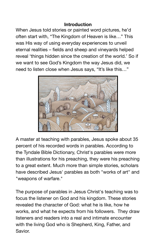#### **Introduction**

When Jesus told stories or painted word pictures, he'd often start with, "The Kingdom of Heaven is like…" This was His way of using everyday experiences to unveil eternal realities – fields and sheep and vineyards helped reveal 'things hidden since the creation of the world.' So if we want to see God's Kingdom the way Jesus did, we need to listen close when Jesus says, "It's like this…"



A master at teaching with parables, Jesus spoke about 35 percent of his recorded words in parables. According to the Tyndale Bible Dictionary, Christ's parables were more than illustrations for his preaching, they were his preaching to a great extent. Much more than simple stories, scholars have described Jesus' parables as both "works of art" and "weapons of warfare."

The purpose of parables in Jesus Christ's teaching was to focus the listener on [God and his kingdom](https://www.learnreligions.com/what-is-the-kingdom-of-god-701988). These stories revealed the [character of God:](https://www.learnreligions.com/basic-christian-beliefs-700357) what he is like, how he works, and what he expects from his followers. They draw listeners and readers into a real and intimate encounter with the living God who is Shepherd, King, Father, and Savior.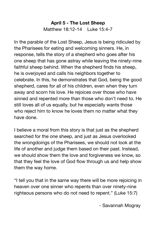# **April 5 - The Lost Sheep**  Matthew 18:12-14 Luke 15:4-7

In the parable of the Lost Sheep, Jesus is being ridiculed by the Pharisees for eating and welcoming sinners. He, in response, tells the story of a shepherd who goes after his one sheep that has gone astray while leaving the ninety-nine faithful sheep behind. When the shepherd finds his sheep, he is overjoyed and calls his neighbors together to celebrate. In this, he demonstrates that God, being the good shepherd, cares for all of his children, even when they turn away and scorn his love. He rejoices over those who have sinned and repented more than those who don't need to. He still loves all of us equally, but he especially wants those who reject him to know he loves them no matter what they have done.

I believe a moral from this story is that just as the shepherd searched for the one sheep, and just as Jesus overlooked the wrongdoings of the Pharisees, we should not look at the life of another and judge them based on their past. Instead, we should show them the love and forgiveness we know, so that they feel the love of God flow through us and help show them the way home.

"I tell you that in the same way there will be more rejoicing in heaven over one sinner who repents than over ninety-nine righteous persons who do not need to repent." (Luke 15:7) 

 - Savannah Mogray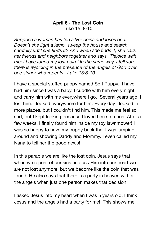## **April 6 - The Lost Coin**  Luke 15: 8-10

*Suppose a woman has ten silver coins and loses one. Doesn't she light a lamp, sweep the house and search carefully until she finds it? And when she finds it, she calls her friends and neighbors together and says, 'Rejoice with me; I have found my lost coin.' In the same way, I tell you, there is rejoicing in the presence of the angels of God over one sinner who repents. Luke 15:8-10* 

I have a special stuffed puppy named Soft Puppy. I have had him since I was a baby. I cuddle with him every night and carry him with me everywhere I go. Several years ago, I lost him. I looked everywhere for him. Every day I looked in more places, but I couldn't find him. This made me feel so sad, but I kept looking because I loved him so much. After a few weeks, I finally found him inside my toy lawnmower! I was so happy to have my puppy back that I was jumping around and showing Daddy and Mommy. I even called my Nana to tell her the good news!

In this parable we are like the lost coin. Jesus says that when we repent of our sins and ask Him into our heart we are not lost anymore, but we become like the coin that was found. He also says that there is a party in heaven with all the angels when just one person makes that decision.

I asked Jesus into my heart when I was 5 years old. I think Jesus and the angels had a party for me! This shows me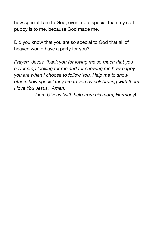how special I am to God, even more special than my soft puppy is to me, because God made me.

Did you know that you are so special to God that all of heaven would have a party for you?

*Prayer: Jesus, thank you for loving me so much that you never stop looking for me and for showing me how happy you are when I choose to follow You. Help me to show others how special they are to you by celebrating with them. I love You Jesus. Amen.* 

 *- Liam Givens (with help from his mom, Harmony)*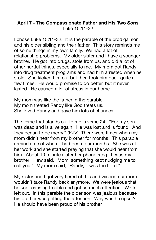#### **April 7 - The Compassionate Father and His Two Sons**  Luke 15:11-32

I chose Luke 15:11-32. It is the parable of the prodigal son and his older sibling and their father. This story reminds me of some things in my own family. We had a lot of relationship problems. My older sister and I have a younger brother. He got into drugs, stole from us, and did a lot of other hurtful things, especially to me. My mom got Randy into drug treatment programs and had him arrested when he stole. She kicked him out but then took him back quite a few times. He would promise to do better, but it never lasted. He caused a lot of stress in our home.

My mom was like the father in the parable. My mom treated Randy like God treats us. She loved Randy and gave him lots of chances.

The verse that stands out to me is verse 24. "For my son was dead and is alive again. He was lost and is found. And they began to be merry." (KJV). There were times when my mom didn't hear from my brother for months. This parable reminds me of when it had been four months. She was at her work and she started praying that she would hear from him. About 10 minutes later her phone rang. It was my brother! Hew said, "Mom, something kept nudging me to call you." My mom said, "Randy, it was the Lord."

My sister and I got very tiered of this and wished our mom wouldn't take Randy back anymore. We were jealous that he kept causing trouble and got so much attention. We felt left out. In this parable the older son was jealous because his brother was getting the attention. Why was he upset? He should have been proud of his brother.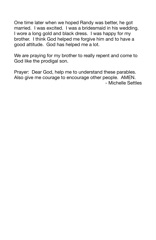One time later when we hoped Randy was better, he got married. I was excited. I was a bridesmaid in his wedding. I wore a long gold and black dress. I was happy for my brother. I think God helped me forgive him and to have a good attitude. God has helped me a lot.

We are praying for my brother to really repent and come to God like the prodigal son.

Prayer: Dear God, help me to understand these parables. Also give me courage to encourage other people. AMEN. - Michelle Settles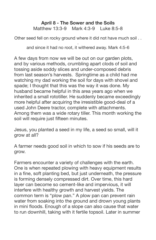#### **April 8 - The Sower and the Soils** Matthew 13:3-9 Mark 4:3-9 Luke 8:5-8

Other seed fell on rocky ground where it did not have much soil . .

. and since it had no root, it withered away. Mark 4:5-6

A few days from now we will be out on our garden plots, and by various methods, crumbling apart clods of soil and tossing aside soddy slices and under-composed debris from last season's harvests. Springtime as a child had me watching my dad working the soil for days with shovel and spade; I thought that this was the way it was done. My husband became helpful in this area years ago when we inherited a small rototiller. He suddenly became exceedingly more helpful after acquiring the irresistible good-deal of a used John Deere tractor, complete with attachments. Among them was a wide rotary tiller. This month working the soil will require just fifteen minutes.

Jesus, you planted a seed in my life, a seed so small, will it grow at all?

A farmer needs good soil in which to sow if his seeds are to grow.

Farmers encounter a variety of challenges with the earth. One is when repeated plowing with heavy equipment results in a fine, soft planting bed, but just underneath, the pressure is forming densely compressed dirt. Over time, this hard layer can become so cement-like and impervious, it will interfere with healthy growth and harvest yields. The common term is "plow pan." A plow pan can prevent rain water from soaking into the ground and drown young plants in mini floods. Enough of a slope can also cause that water to run downhill, taking with it fertile topsoil. Later in summer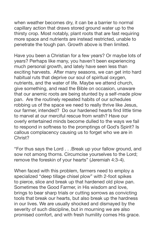when weather becomes dry, it can be a barrier to normal capillary action that draws stored ground water up to the thirsty crop. Most notably, plant roots that are fast requiring more space and nutrients are instead restricted, unable to penetrate the tough pan. Growth above is then limited.

Have you been a Christian for a few years? Or maybe lots of years? Perhaps like many, you haven't been experiencing much personal growth, and lately have seen less than exciting harvests. After many seasons, we can get into hard habitual ruts that deprive our soul of spiritual oxygen, nutrients, and the water of life. Maybe we attend church, give something, and read the Bible on occasion, unaware that our anemic roots are being stunted by a self-made plow pan. Are the routinely repeated habits of our schedules robbing us of the space we need to really thrive like Jesus, our farmer, intended? Do our hardened hearts find little time to marvel at our merciful rescue from wrath? Have our overly entertained minds become dulled to the ways we fail to respond in softness to the promptings of God's Spirit? Is callous complacency causing us to forget who we are in Christ?

"For thus says the Lord . . .Break up your fallow ground, and sow not among thorns. Circumcise yourselves to the Lord; remove the foreskin of your hearts" (Jeremiah 4:3-4).

When faced with this problem, farmers need to employ a specialized "deep tillage chisel plow" with 2-foot spikes to pierce, slice and break up that hardened old plow pan. Sometimes the Good Farmer, in His wisdom and love, brings to bear sharp trials or cutting sorrows as convicting tools that break our hearts, but also break up the hardness in our lives. We are usually shocked and dismayed by the severity of such discipline, but in mourning we are also promised comfort, and with fresh humility comes His grace.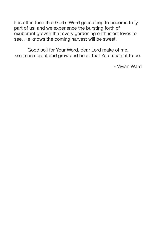It is often then that God's Word goes deep to become truly part of us, and we experience the bursting forth of exuberant growth that every gardening enthusiast loves to see. He knows the coming harvest will be sweet.

Good soil for Your Word, dear Lord make of me, so it can sprout and grow and be all that You meant it to be.

- Vivian Ward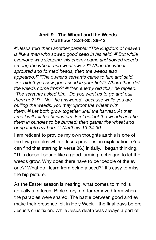## **April 9 - The Wheat and the Weeds Matthew 13:24-30; 36-43**

*<sup>24</sup> Jesus told them another parable: "The kingdom of heaven is like a man who sowed good seed in his field. <sup>25</sup> But while everyone was sleeping, his enemy came and sowed weeds among the wheat, and went away. <sup>26</sup> When the wheat sprouted and formed heads, then the weeds also appeared.<sup>27</sup> "The owner's servants came to him and said, 'Sir, didn't you sow good seed in your field? Where then did the weeds come from?' <sup>28</sup> "'An enemy did this,' he replied. "The servants asked him, 'Do you want us to go and pull them up?' <sup>29</sup> "'No,' he answered, 'because while you are pulling the weeds, you may uproot the wheat with them. <sup>30</sup> Let both grow together until the harvest. At that time I will tell the harvesters: First collect the weeds and tie them in bundles to be burned; then gather the wheat and bring it into my barn.'" Matthew 13:24-30* 

I am reticent to provide my own thoughts as this is one of the few parables where Jesus provides an explanation. (You can find that starting in verse 36.) Initially, I began thinking, "This doesn't sound like a good farming technique to let the weeds grow. Why does there have to be 'people of the evil one?' What do I learn from being a seed?" It's easy to miss the big picture.

As the Easter season is nearing, what comes to mind is actually a different Bible story, not far removed from when the parables were shared. The battle between good and evil make their presence felt in Holy Week – the final days before Jesus's crucifixion. While Jesus death was always a part of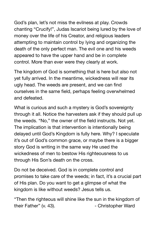God's plan, let's not miss the evilness at play. Crowds chanting "Crucify!", Judas Iscariot being lured by the love of money over the life of his Creator, and religious leaders attempting to maintain control by lying and organizing the death of the only perfect man. The evil one and his weeds appeared to have the upper hand and be in complete control. More than ever were they clearly at work.

The kingdom of God is something that is here but also not yet fully arrived. In the meantime, wickedness will rear its ugly head. The weeds are present, and we can find ourselves in the same field, perhaps feeling overwhelmed and defeated.

What is curious and such a mystery is God's sovereignty through it all. Notice the harvesters ask if they should pull up the weeds. "No," the owner of the field instructs. Not yet. The implication is that intervention is intentionally being delayed until God's Kingdom is fully here. Why? I speculate it's out of God's common grace, or maybe there is a bigger story God is writing in the same way He used the wickedness of men to bestow His righteousness to us through His Son's death on the cross.

Do not be deceived. God is in complete control and promises to take care of the weeds; in fact, it's a crucial part of His plan. Do you want to get a glimpse of what the kingdom is like without weeds? Jesus tells us.

"Then the righteous will shine like the sun in the kingdom of their Father" (v. 43). Their Father Ward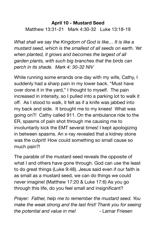# **April 10 - Mustard Seed**  Matthew 13:31-21 Mark 4:30-32 Luke 13:18-19

*What shall we say the Kingdom of God is like… It is like a mustard seed, which is the smallest of all seeds on earth. Yet when planted, it grows and becomes the largest of all garden plants, with such big branches that the birds can perch in its shade. Mark 4: 30-32 NIV* 

While running some errands one day with my wife, Cathy, I suddenly had a sharp pain in my lower back. "Must have over done it in the yard," I thought to myself. The pain increased in intensity, so I pulled into a parking lot to walk it off. As I stood to walk, it felt as if a knife was jabbed into my back and side. It brought me to my knees! What was going on?! Cathy called 911. On the ambulance ride to the ER, spasms of pain shot through me causing me to involuntarily kick the EMT several times! I kept apologizing in between spasms. An x-ray revealed that a kidney stone was the culprit! How could something so small cause so much pain?!

The parable of the mustard seed reveals the opposite of what I and others have gone through. God can use the least to do great things (Luke 9:48). Jesus said even if our faith is as small as a mustard seed, we can do things we could never imagine! (Matthew 17:20 & Luke 17:6) As you go through this life, do you feel small and insignificant?

*Prayer: Father, help me to remember the mustard seed. You make the weak strong and the last first! Thank you for seeing the potential and value in me!* - Lamar Friesen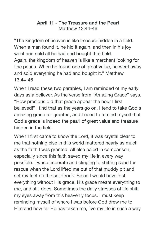#### **April 11 - The Treasure and the Pearl**  Matthew 13:44-46

"The kingdom of heaven is like treasure hidden in a field. When a man found it, he hid it again, and then in his joy went and sold all he had and bought that field. Again, the kingdom of heaven is like a merchant looking for fine pearls. When he found one of great value, he went away and sold everything he had and bought it." Matthew 13:44-46

When I read these two parables, I am reminded of my early days as a believer. As the verse from "Amazing Grace" says, "How precious did that grace appear the hour I first believed!" I find that as the years go on, I tend to take God's amazing grace for granted, and I need to remind myself that God's grace is indeed the pearl of great value and treasure hidden in the field.

When I first came to know the Lord, it was crystal clear to me that nothing else in this world mattered nearly as much as the faith I was granted. All else paled in comparison, especially since this faith saved my life in every way possible. I was desperate and clinging to shifting sand for rescue when the Lord lifted me out of that muddy pit and set my feet on the solid rock. Since I would have lost everything without His grace, His grace meant everything to me, and still does. Sometimes the daily stresses of life shift my eyes away from this heavenly focus. I must keep reminding myself of where I was before God drew me to Him and how far He has taken me, live my life in such a way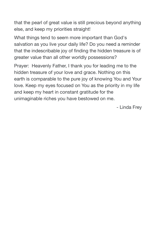that the pearl of great value is still precious beyond anything else, and keep my priorities straight!

What things tend to seem more important than God's salvation as you live your daily life? Do you need a reminder that the indescribable joy of finding the hidden treasure is of greater value than all other worldly possessions?

Prayer: Heavenly Father, I thank you for leading me to the hidden treasure of your love and grace. Nothing on this earth is comparable to the pure joy of knowing You and Your love. Keep my eyes focused on You as the priority in my life and keep my heart in constant gratitude for the unimaginable riches you have bestowed on me. 

 - Linda Frey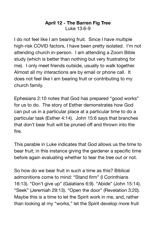#### **April 12 - The Barren Fig Tree** Luke 13:6-9

I do not feel like I am bearing fruit. Since I have multiple high-risk COVID factors, I have been pretty isolated. I'm not attending church in-person. I am attending a Zoom Bible study (which is better than nothing but very frustrating for me). I only meet friends outside, usually to walk together. Almost all my interactions are by email or phone call. It does not feel like I am bearing fruit or contributing to my church family.

Ephesians 2:10 notes that God has prepared "good works" for us to do. The story of Esther demonstrates how God can put us in a particular place at a particular time to do a particular task (Esther 4:14). John 15:6 says that branches that don't bear fruit will be pruned off and thrown into the fire.

This parable in Luke indicates that God allows us the time to bear fruit; in this instance giving the gardener a specific time before again evaluating whether to tear the tree out or not.

So how do we bear fruit in such a time as this? Biblical admonitions come to mind: "Stand firm" (I Corinthians 16:13). "Don't give up" (Galatians 6:9). "Abide" (John 15:14). "Seek" (Jeremiah 29:13). "Open the door" (Revelation 3:20). Maybe this is a time to let the Spirit work in me, and, rather than looking at my "works," let the Spirit develop more fruit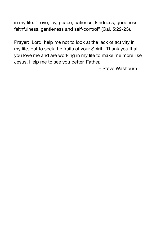in my life. "Love, joy, peace, patience, kindness, goodness, faithfulness, gentleness and self-control" (Gal. 5:22-23).

Prayer: Lord, help me not to look at the lack of activity in my life, but to seek the fruits of your Spirit. Thank you that you love me and are working in my life to make me more like Jesus. Help me to see you better, Father.

 - Steve Washburn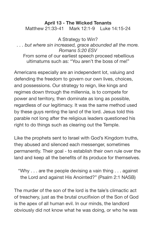#### **April 13 - The Wicked Tenants**

Matthew 21:33-41 Mark 12:1-9 Luke 14:15-24

A Strategy to Win? *. . . but where sin increased, grace abounded all the more. Romans 5:20 ESV*  From some of our earliest speech proceed rebellious ultimatums such as: "You aren't the boss of me!"

Americans especially are an independent lot, valuing and defending the freedom to govern our own lives, choices, and possessions. Our strategy to reign, like kings and regimes down through the millennia, is to compete for power and territory, then dominate as long as possible, regardless of our legitimacy. It was the same method used by these guys renting the land of the lord. Jesus told this parable not long after the religious leaders questioned his right to do things such as clearing out the Temple.

Like the prophets sent to Israel with God's Kingdom truths, they abused and silenced each messenger, sometimes permanently. Their goal - to establish their own rule over the land and keep all the benefits of its produce for themselves.

"Why . . . are the people devising a vain thing . . . against the Lord and against His Anointed?" (Psalm 2:1 NASB)

The murder of the son of the lord is the tale's climactic act of treachery, just as the brutal crucifixion of the Son of God is the apex of all human evil. In our minds, the landlord obviously did not know what he was doing, or who he was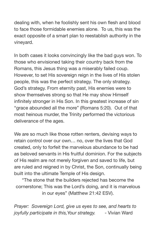dealing with, when he foolishly sent his own flesh and blood to face those formidable enemies alone. To us, this was the exact opposite of a smart plan to reestablish authority in the vineyard.

In both cases it looks convincingly like the bad guys won. To those who envisioned taking their country back from the Romans, this Jesus thing was a miserably failed coup. However, to set His sovereign reign in the lives of His stolen people, this was the perfect strategy. The only strategy. God's strategy. From eternity past, His enemies were to show themselves strong so that He may show Himself infinitely stronger in His Son. In this greatest increase of sin "grace abounded all the more" (Romans 5:20). Out of that most heinous murder, the Trinity performed the victorious deliverance of the ages.

We are so much like those rotten renters, devising ways to retain control over our own… no, over the lives that God created, only to forfeit the marvelous abundance to be had as beloved servants in His fruitful dominion. For the subjects of His realm are not merely forgiven and saved to life, but are ruled and reigned in by Christ, the Son, continually being built into the ultimate Temple of His design.

"The stone that the builders rejected has become the cornerstone; This was the Lord's doing, and it is marvelous in our eyes" (Matthew 21:42 ESV).

*Prayer: Sovereign Lord, give us eyes to see, and hearts to joyfully participate in this,Your strategy.* - Vivian Ward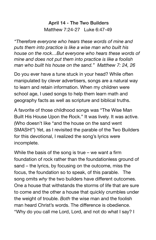# **April 14 - The Two Builders**  Matthew 7:24-27 Luke 6:47-49

*"Therefore everyone who hears these words of mine and puts them into practice is like a wise man who built his house on the rock…But everyone who hears these words of mine and does not put them into practice is like a foolish man who built his house on the sand." Matthew 7: 24, 26* 

Do you ever have a tune stuck in your head? While often manipulated by clever advertisers, songs are a natural way to learn and retain information. When my children were school age, I used songs to help them learn math and geography facts as well as scripture and biblical truths.

A favorite of those childhood songs was "The Wise Man Built His House Upon the Rock." It was lively. It was active. (Who doesn't like "and the house on the sand went SMASH!") Yet, as I revisited the parable of the Two Builders for this devotional, I realized the song's lyrics were incomplete.

While the basis of the song is true – we want a firm foundation of rock rather than the foundationless ground of sand – the lyrics, by focusing on the outcome, miss the focus, the foundation so to speak, of this parable. The song omits *why* the two builders have different outcomes. One a house that withstands the storms of life that are sure to come and the other a house that quickly crumbles under the weight of trouble. *Both* the wise man and the foolish man heard Christ's words. The difference is obedience. "Why do you call me Lord, Lord, and not do what I say? I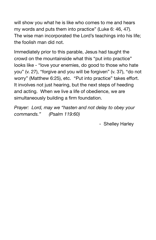will show you what he is like who comes to me and hears my words and puts them into practice" (Luke 6: 46, 47). The wise man incorporated the Lord's teachings into his life; the foolish man did not.

Immediately prior to this parable, Jesus had taught the crowd on the mountainside what this "put into practice" looks like - "love your enemies, do good to those who hate you" (v. 27), "forgive and you will be forgiven" (v. 37), "do not worry" (Matthew 6:25), etc. "Put into practice" takes effort. It involves not just hearing, but the next steps of heeding and acting. When we live a life of obedience, we are simultaneously building a firm foundation.

*Prayer: Lord, may we "hasten and not delay to obey your commands." (Psalm 119:60)* 

 - Shelley Harley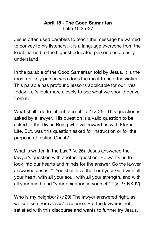#### **April 15 - The Good Samaritan**  Luke 10:25-37

Jesus often used parables to teach the message he wanted to convey to his listeners. It is a language everyone from the least learned to the highest educated person could easily understand.

In the parable of the Good Samaritan told by Jesus, it is the most unlikely person who does the most to help the victim. This parable has profound lessons applicable for our lives today. Let's look more closely to see what we should derive from it.

What shall I do to inherit eternal life? (v. 25) This question is asked by a lawyer. His question is a valid question to be asked to the Divine Being who will reward us with Eternal Life. But, was this question asked for instruction or for the purpose of testing Christ?

What is written in the Law? (v. 26) Jesus answered the lawyer's question with another question. He wants us to look into our hearts and minds for the answer. So the lawyer answered Jesus, " 'You shall love the Lord your God with all your heart, with all your soul, with all your strength, and with all your mind' and "your neighbor as yourself' " (v. 27 NKJV).

Who is my neighbor? (v.29) The lawyer answered right, as we can see from Jesus' response. But the lawyer is not satisfied with this discourse and wants to further try Jesus.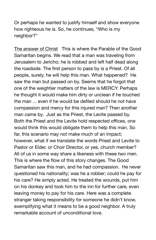Or perhaps he wanted to justify himself and show everyone how righteous he is. So, he continues, "Who is my neighbor?"

The answer of Christ This is where the Parable of the Good Samaritan begins. We read that a man was traveling from Jerusalem to Jericho; he is robbed and left half dead along the roadside. The first person to pass by is a Priest. Of all people, surely, he will help this man. What happened? He saw the man but passed on by. Seems that he forgot that one of the weightier matters of the law is MERCY. Perhaps he thought it would make him dirty or unclean if he touched the man ... even if he would be defiled should he not have compassion and mercy for this injured man? Then another man came by. Just as the Priest, the Levite passed by. Both the Priest and the Levite hold respected offices, one would think this would obligate them to help this man. So far, this scenario may not make much of an impact; however, what if we translate the words Priest and Levite to Pastor or Elder, or Choir Director, or yes, church member? All of us in some way share a likeness with these two men. This is where the flow of this story changes. The Good Samaritan saw this man, and he had compassion. He never questioned his nationality; was he a robber; could he pay for his care? He simply acted. He treated the wounds, put him on his donkey and took him to the inn for further care, even leaving money to pay for his care. Here was a complete stranger taking responsibility for someone he didn't know, exemplifying what it means to be a good neighbor. A truly remarkable account of unconditional love.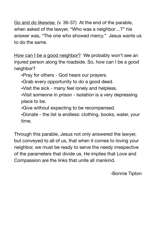Go and do likewise. (v. 36-37) At the end of the parable, when asked of the lawyer, "Who was a neighbor…?" his answer was, "The one who showed mercy." Jesus wants us to do the same.

How can I be a good neighbor? We probably won't see an injured person along the roadside. So, how can I be a good neighbor?

•Pray for others - God hears our prayers.

•Grab every opportunity to do a good deed.

•Visit the sick - many feel lonely and helpless.

•Visit someone in prison - isolation is a very depressing place to be.

•Give without expecting to be recompensed.

•Donate - the list is endless: clothing, books, water, your time.

Through this parable, Jesus not only answered the lawyer, but conveyed to all of us, that when it comes to loving your neighbor, we must be ready to serve the needy irrespective of the parameters that divide us. He implies that Love and Compassion are the links that unite all mankind. 

-Bonnie Tipton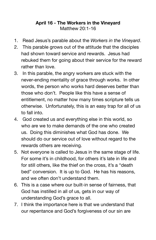# **April 16 - The Workers in the Vineyard**  Matthew 20:1-16

- 1. Read Jesus's parable about the *Workers in the Vineyard*.
- 2. This parable grows out of the attitude that the disciples had shown toward service and rewards. Jesus had rebuked them for going about their service for the reward rather than love.
- 3. In this parable, the angry workers are stuck with the never-ending mentality of grace through works. In other words, the person who works hard deserves better than those who don't. People like this have a sense of entitlement, no matter how many times scripture tells us otherwise. Unfortunately, this is an easy trap for all of us to fall into.
- 4. God created us and everything else in this world, so who are we to make demands of the one who created us. Doing this diminishes what God has done. We should do our service out of love without regard to the rewards others are receiving.
- 5. Not everyone is called to Jesus in the same stage of life. For some it's in childhood, for others it's late in life and for still others, like the thief on the cross, it's a "death bed" conversion. It is up to God. He has his reasons, and we often don't understand them.
- 6. This is a case where our built-in sense of fairness, that God has instilled in all of us, gets in our way of understanding God's grace to all.
- 7. I think the importance here is that we understand that our repentance and God's forgiveness of our sin are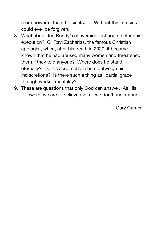more powerful than the sin itself. Without this, no sins could ever be forgiven.

- 8. What about Ted Bundy's conversion just hours before his execution? Or Ravi Zacharias, the famous Christian apologist, when, after his death in 2020, it became known that he had abused many women and threatened them if they told anyone? Where does he stand eternally? Do his accomplishments outweigh his indiscretions? Is there such a thing as "partial grace through works" mentality?
- 9. These are questions that only God can answer. As His followers, we are to believe even if we don't understand.

- Gary Garner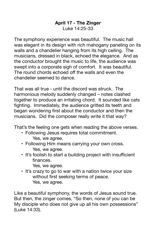#### **April 17 - The Zinger**  Luke 14:25-33

The symphony experience was beautiful. The music hall was elegant in its design with rich mahogany paneling on its walls and a chandelier hanging from its high ceiling. The musicians, dressed in black, echoed the elegance. And as the conductor brought the music to life, the audience was swept into a corporate sigh of comfort. It was beautiful. The round chords echoed off the walls and even the chandelier seemed to dance.

That was all true - until the discord was struck. The harmonious melody suddenly changed – notes clashed together to produce an irritating chord. It sounded like cats fighting. Immediately, the audience gritted its teeth and began wondering first about the conductor and then the musicians. Did the composer really write it that way?

That's the feeling one gets when reading the above verses.

- Following Jesus requires total commitment. Yes, we agree.
- Following Him means carrying your own cross. Yes, we agree.
- It's foolish to start a building project with insufficient finances.

Yes, we agree.

• It's crazy to go to war with a nation twice your size without first seeking terms of peace. Yes, we agree.

Like a beautiful symphony, the words of Jesus sound true. But then, the zinger comes, "So then, none of you can be My disciple who does not give up all his own possessions" (Luke 14:33).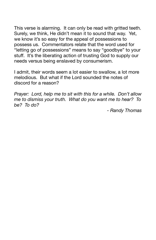This verse is alarming. It can only be read with gritted teeth. Surely, we think, He didn't mean it to sound that way. Yet, we know it's so easy for the appeal of possessions to possess us. Commentators relate that the word used for "letting go of possessions" means to say "goodbye" to your stuff. It's the liberating action of trusting God to supply our needs versus being enslaved by consumerism.

I admit, their words seem a lot easier to swallow, a lot more melodious. But what if the Lord sounded the notes of discord for a reason?

*Prayer: Lord, help me to sit with this for a while. Don't allow me to dismiss your truth. What do you want me to hear? To be?* To do?

*- Randy Thomas*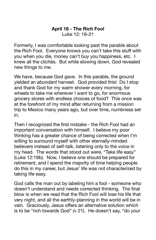#### **April 18 - The Rich Fool**  Luke 12: 16-21

Formerly, I was comfortable looking past the parable about the Rich Fool. Everyone knows you can't take this stuff with you when you die, money can't buy you happiness, etc. I knew all the clichés. But while slowing down, God revealed new things to me.

We have, because God gave. In this parable, the ground yielded an *abundant* harvest. God provided this! Do I stop and thank God for my warm shower every morning, for wheels to take me wherever I want to go, for enormous grocery stores with endless choices of food? This once was at the forefront of my mind after returning from a mission trip to Mexico many years ago, but over time, numbness set in.

Then I recognized the first mistake - the Rich Fool had an important conversation with himself. I believe my poor thinking has a greater chance of being corrected when I'm willing to surround myself with other eternally-minded believers instead of self-talk, listening only to the voice in my head. The words that stood out were, "Take life easy" (Luke 12:19b). Now, I believe one should be prepared for retirement, and I spend the majority of time helping people do this in my career, but Jesus' life was not characterized by taking life easy.

God calls the man out by labeling him a fool - someone who doesn't understand and needs corrected thinking. The final blow is when we read that the Rich Fool will lose his life that very night, and all the earthly-planning in the world will be in vain. Graciously, Jesus offers an alternative solution which is to be "rich towards God" (v 21). He doesn't say, "do your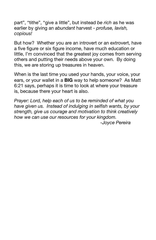part", "tithe", "give a little", but instead *be rich* as he was earlier by giving an *abundant* harvest - *profuse, lavish, copious!* 

But how? Whether you are an introvert or an extrovert, have a five figure or six figure income, have much education or little, I'm convinced that the greatest joy comes from serving others and putting their needs above your own. By doing this, we are storing up treasures in heaven.

When is the last time you used your hands, your voice, your ears, or your wallet in a **BIG** way to help someone? As Matt 6:21 says, perhaps it is time to look at where your treasure is, because there your heart is also.

*Prayer: Lord, help each of us to be reminded of what you have given us. Instead of indulging in selfish wants, by your strength, give us courage and motivation to think creatively how we can use our resources for your kingdom. -Joyce Pereira*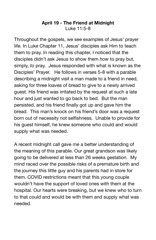#### **April 19 - The Friend at Midnight**  Luke 11:5-8

Throughout the gospels, we see examples of Jesus' prayer life. In Luke Chapter 11, Jesus' disciples ask Him to teach them to pray. In reading this chapter, I noticed that the disciples didn't ask Jesus to show them *how* to pray but, simply, *to* pray. Jesus responded with what is known as the Disciples' Prayer. He follows in verses 5-8 with a parable describing a midnight visit a man made to a friend in need, asking for three loaves of bread to give to a newly arrived guest. His friend was irritated by the request at such a late hour and just wanted to go back to bed. But the man persisted, and his friend finally got up and gave him the bread. This man's knock on his friend's door was a request born out of necessity not selfishness. Unable to provide for his guest himself, he knew someone who could and would supply what was needed.

A recent midnight call gave me a better understanding of the meaning of this parable. Our great grandson was likely going to be delivered at less than 26 weeks gestation. My mind raced over the possible risks of a premature birth and the journey this little guy and his parents had in store for them. COVID restrictions meant that this young couple wouldn't have the support of loved ones with them at the hospital. Our hearts were breaking, but we knew who to turn to that could and would be with them and supply what was needed.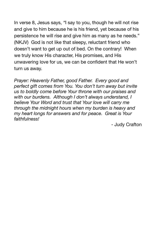In verse 8, Jesus says, *"*I say to you, though he will not rise and give to him because he is his friend, yet because of his persistence he will rise and give him as many as he needs." (NKJV) God is not like that sleepy, reluctant friend who doesn't want to get up out of bed. On the contrary! When we truly know His character, His promises, and His unwavering love for us, we can be confident that He won't turn us away.

*Prayer: Heavenly Father, good Father. Every good and perfect gift comes from You. You don't turn away but invite us to boldly come before Your throne with our praises and with our burdens. Although I don't always understand, I believe Your Word and trust that Your love will carry me through the midnight hours when my burden is heavy and my heart longs for answers and for peace. Great is Your faithfulness!* 

- Judy Crafton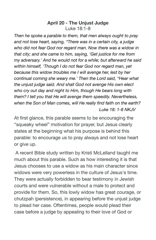#### **April 20 - The Unjust Judge**  Luke 18:1-8

*Then he spoke a parable to them, that men always ought to pray and not lose heart, saying, "There was in a certain city, a judge who did not fear God nor regard man. Now there was a widow in that city; and she came to him, saying, 'Get justice for me from my adversary.' And he would not for a while; but afterward he said within himself, 'Though I do not fear God nor regard man, yet because this widow troubles me I will avenge her, lest by her continual coming she weary me.' Then the Lord said, "Hear what the unjust judge said. And shall God not avenge His own elect who cry out day and night to Him, though He bears long with them? I tell you that He will avenge them speedily. Nevertheless, when the Son of Man comes, will He really find faith on the earth? Luke 18: 1-8 NKJV* 

At first glance, this parable seems to be encouraging the "squeaky wheel" motivation for prayer, but Jesus clearly states at the beginning what his purpose is behind this parable: to encourage us to pray always and not lose heart or give up.

 A recent Bible study written by Kristi McLelland taught me much about this parable. Such as how interesting it is that Jesus chooses to use a widow as his main character since widows were very powerless in the culture of Jesus's time. They were actually forbidden to bear testimony in Jewish courts and were vulnerable without a male to protect and provide for them. So, this lowly widow has great courage, or chutzpah (persistence), in appearing before the unjust judge to plead her case. Oftentimes, people would plead their case before a judge by appealing to their love of God or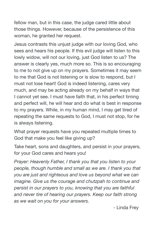fellow man, but in this case, the judge cared little about those things. However, because of the persistence of this woman, he granted her request.

Jesus contrasts this unjust judge with our loving God, who sees and hears his people. If this evil judge will listen to this lowly widow, will not our loving, just God listen to us? The answer is clearly yes, much more so. This is so encouraging to me to not give up on my prayers. Sometimes it may seem to me that God is not listening or is slow to respond, but I must not lose heart! God is indeed listening, cares very much, and may be acting already on my behalf in ways that I cannot yet see. I must have faith that, in his perfect timing and perfect will, he will hear and do what is best in response to my prayers. While, in my human mind, I may get tired of repeating the same requests to God, I must not stop, for he is always listening.

What prayer requests have you repeated multiple times to God that make you feel like giving up?

Take heart, sons and daughters, and persist in your prayers, for your God cares and hears you!

*Prayer: Heavenly Father, I thank you that you listen to your people, though humble and small as we are. I thank you that you are just and righteous and love us beyond what we can imagine. Give us the courage and chutzpah to continue and persist in our prayers to you, knowing that you are faithful and never tire of hearing our prayers. Keep our faith strong as we wait on you for your answers.* 

 - Linda Frey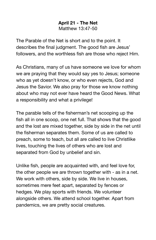#### **April 21 - The Net**  Matthew 13:47-50

The Parable of the Net is short and to the point. It describes the final judgment. The good fish are Jesus' followers, and the worthless fish are those who reject Him.

As Christians, many of us have someone we love for whom we are praying that they would say yes to Jesus; someone who as yet doesn't know, or who even rejects, God and Jesus the Savior. We also pray for those we know nothing about who may not ever have heard the Good News. What a responsibility and what a privilege!

The parable tells of the fisherman's net scooping up the fish all in one scoop, one net full. That shows that the good and the lost are mixed together, side by side in the net until the fisherman separates them. Some of us are called to preach, some to teach, but all are called to live Christlike lives, touching the lives of others who are lost and separated from God by unbelief and sin.

Unlike fish, people are acquainted with, and feel love for, the other people we are thrown together with - as in a net. We work with others, side by side. We live in houses, sometimes mere feet apart, separated by fences or hedges. We play sports with friends. We volunteer alongside others. We attend school together. Apart from pandemics, we are pretty social creatures.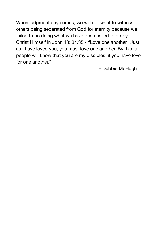When judgment day comes, we will not want to witness others being separated from God for eternity because we failed to be doing what we have been called to do by Christ Himself in John 13: 34,35 - "Love one another. Just as I have loved you, you must love one another. By this, all people will know that you are my disciples, if you have love for one another." 

 - Debbie McHugh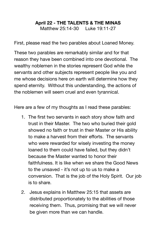# **April 22 - THE TALENTS & THE MINAS**

Matthew 25:14-30 Luke 19:11-27

First, please read the two parables about Loaned Money.

These two parables are remarkably similar and for that reason they have been combined into one devotional. The wealthy noblemen in the stories represent God while the servants and other subjects represent people like you and me whose decisions here on earth will determine how they spend eternity. Without this understanding, the actions of the noblemen will seem cruel and even tyrannical.

Here are a few of my thoughts as I read these parables:

- 1. The first two servants in each story show faith and trust in their Master. The two who buried their gold showed no faith or trust in their Master or His ability to make a harvest from their efforts. The servants who were rewarded for wisely investing the money loaned to them could have failed, but they didn't because the Master wanted to honor their faithfulness. It is like when we share the Good News to the unsaved - it's not up to us to make a conversion. That is the job of the Holy Spirit. Our job is to share.
- 2. Jesus explains in Matthew 25:15 that assets are distributed proportionately to the abilities of those receiving them. Thus, promising that we will never be given more than we can handle.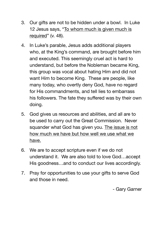- 3. Our gifts are not to be hidden under a bowl. In Luke 12 Jesus says, "To whom much is given much is required" (v. 48).
- 4. In Luke's parable, Jesus adds additional players who, at the King's command, are brought before him and executed. This seemingly cruel act is hard to understand, but before the Nobleman became King, this group was vocal about hating Him and did not want Him to become King. These are people, like many today, who overtly deny God, have no regard for His commandments, and tell lies to embarrass his followers. The fate they suffered was by their own doing.
- 5. God gives us resources and abilities, and all are to be used to carry out the Great Commission. Never squander what God has given you. The issue is not how much we have but how well we use what we have.
- 6. We are to accept scripture even if we do not understand it. We are also told to love God…accept His goodness…and to conduct our lives accordingly.
- 7. Pray for opportunities to use your gifts to serve God and those in need.

- Gary Garner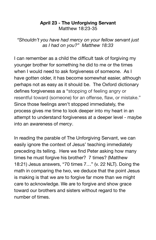#### **April 23 - The Unforgiving Servant**  Matthew 18:23-35

*"Shouldn't you have had mercy on your fellow servant just as I had on you?" Matthew 18:33* 

I can remember as a child the difficult task of forgiving my younger brother for something he did to me or the times when I would need to ask forgiveness of someone. As I have gotten older, it has become somewhat easier, although perhaps not as easy as it should be. The Oxford dictionary defines forgiveness as a "stopping of feeling angry or resentful toward (someone) for an offense, flaw, or mistake." Since those feelings aren't stopped immediately, the process gives me time to look deeper into my heart in an attempt to understand forgiveness at a deeper level - maybe into an awareness of *mercy*.

In reading the parable of The Unforgiving Servant, we can easily ignore the context of Jesus' teaching immediately preceding its telling. Here we find Peter asking how many times he must forgive his brother? 7 times? (Matthew 18:21) Jesus answers, "70 times 7…" (v. 22 NLT). Doing the math in comparing the two, we deduce that the point Jesus is making is that we are to forgive far more than we might care to acknowledge. We are to forgive and show grace toward our brothers and sisters without regard to the number of times.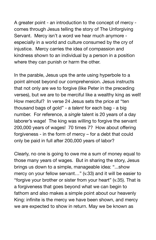A greater point - an introduction to the concept of mercy comes through Jesus telling the story of The Unforgiving Servant. Mercy isn't a word we hear much anymore especially in a world and culture consumed by the cry of injustice. Mercy carries the idea of compassion and kindness shown to an individual by a person in a position where they can punish or harm the other.

In the parable, Jesus ups the ante using hyperbole to a point almost beyond our comprehension. Jesus instructs that not only are we to forgive (like Peter in the preceding verses), but we are to be merciful like a wealthy king as well! How merciful? In verse 24 Jesus sets the price at "ten thousand bags of gold" - a *talent* for each bag - a big number. For reference, a *single* talent is 20 years of a day laborer's wage! The king was willing to forgive the servant 200,000 years of wages! 70 times 7? How about offering forgiveness - in the form of mercy – for a debt that could only be paid in full after 200,000 years of labor?

Clearly, no one is going to owe me a sum of money equal to those many years of wages. But in sharing the story, Jesus brings us down to a simple, manageable idea: "...show mercy on your fellow servant…" (v.33) and it will be easier to "forgive your brother or sister from your heart" (v.35). That is a forgiveness that goes beyond what we can begin to fathom and also makes a simple point about our heavenly King: infinite is the mercy we have been shown, and mercy we are expected to show in return. May we be known as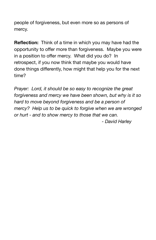people of forgiveness, but even more so as persons of mercy.

**Reflection:** Think of a time in which you may have had the opportunity to offer more than forgiveness. Maybe you were in a position to offer mercy. What did you do? In retrospect, if you now think that maybe you would have done things differently, how might that help you for the next time?

*Prayer: Lord, it should be so easy to recognize the great forgiveness and mercy we have been shown, but why is it so hard to move beyond forgiveness and be a person of mercy? Help us to be quick to forgive when we are wronged or hurt - and to show mercy to those that we can. - David Harley*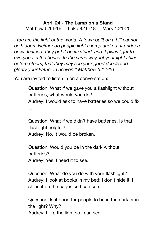#### **April 24 - The Lamp on a Stand**

Matthew 5:14-16 Luke 8:16-18 Mark 4:21-25

*"You are the light of the world. A town built on a hill cannot be hidden. Neither do people light a lamp and put it under a bowl. Instead, they put it on its stand, and it gives light to everyone in the house. In the same way, let your light shine before others, that they may see your good deeds and glorify your Father in heaven." Matthew 5:14-16* 

You are invited to listen in on a conversation:

Question: What if we gave you a flashlight without batteries, what would you do? Audrey: I would ask to have batteries so we could fix it.

Question: What if we didn't have batteries. Is that flashlight helpful? Audrey: No, it would be broken.

Question: Would you be in the dark without batteries? Audrey: Yes, I need it to see.

Question: What do you do with your flashlight? Audrey: I look at books in my bed; I don't hide it. I shine it on the pages so I can see.

Question: Is it good for people to be in the dark or in the light? Why? Audrey: I like the light so I can see.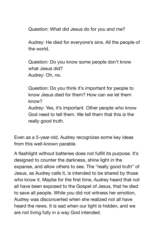Question: What did Jesus do for you and me?

Audrey: He died for everyone's sins. All the people of the world.

Question: Do you know some people don't know what Jesus did? Audrey: Oh, no.

Question: Do you think it's important for people to know Jesus died for them? How can we let them know? Audrey: Yes, it's important. Other people who know God need to tell them. We tell them that this is the really good truth.

Even as a 5-year-old, Audrey recognizes some key ideas from this well-known parable.

A flashlight without batteries does not fulfill its purpose. It's designed to counter the darkness, shine light in the expanse, and allow others to see. The "really good truth" of Jesus, as Audrey calls it, is intended to be shared by those who know it. Maybe for the first time, Audrey heard that not all have been exposed to the Gospel of Jesus, that he died to save all people. While you did not witness her emotion, Audrey was disconcerted when she realized not all have heard the news. It is sad when our light is hidden, and we are not living fully in a way God intended.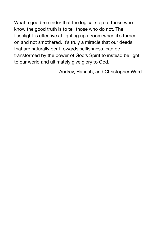What a good reminder that the logical step of those who know the good truth is to tell those who do not. The flashlight is effective at lighting up a room when it's turned on and not smothered. It's truly a miracle that our deeds, that are naturally bent towards selfishness, can be transformed by the power of God's Spirit to instead be light to our world and ultimately give glory to God. 

- Audrey, Hannah, and Christopher Ward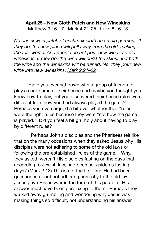# **April 25 - New Cloth Patch and New Wineskins**  Matthew 9:16-17 Mark 4:21-25 Luke 8:16-18

*No one sews a patch of unshrunk cloth on an old garment. If they do, the new piece will pull away from the old, making the tear worse. And people do not pour new wine into old wineskins. If they do, the wine will burst the skins, and both the wine and the wineskins will be ruined. No, they pour new wine into new wineskins. [Mark 2.21–22](https://biblia.com/bible/esv/Mark%202.21%E2%80%9322)*

Have you ever sat down with a group of friends to play a card game at their house and maybe you thought you knew how to play, but you discovered their house rules were different from how you had always played the game? Perhaps you even argued a bit over whether their "rules" were the right rules because they were "not how the game is played." Did you feel a bit grumbly about having to play by different rules?

 Perhaps John's disciples and the Pharisees felt like that on the many occasions when they asked Jesus why His disciples were not adhering to some of the old laws or following the pre-established "rules of the game." Why, they asked, weren't His disciples fasting on the days that, according to Jewish law, had been set aside as fasting days? (Mark 2:18) This is not the first time He had been questioned about not adhering correctly to the old law. Jesus gave His answer in the form of this parable. His answer must have been perplexing to them. Perhaps they walked away grumbling and wondering why Jesus was making things so difficult, not understanding his answer.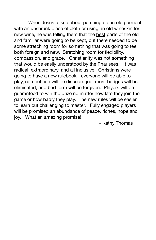When Jesus talked about patching up an old garment with an unshrunk piece of cloth or using an old wineskin for new wine, he was telling them that the best parts of the old and familiar were going to be kept, but there needed to be some stretching room for something that was going to feel both foreign and new. Stretching room for flexibility, compassion, and grace. Christianity was not something that would be easily understood by the Pharisees. It was radical, extraordinary, and all inclusive. Christians were going to have a new rulebook - everyone will be able to play, competition will be discouraged, merit badges will be eliminated, and bad form will be forgiven. Players will be guaranteed to win the prize no matter how late they join the game or how badly they play. The new rules will be easier to learn but challenging to master. Fully engaged players will be promised an abundance of peace, riches, hope and joy. What an amazing promise! 

 - Kathy Thomas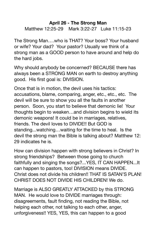#### **April 26 - The Strong Man**

Matthew 12:25-29 Mark 3:22-27 Luke 11:15-23

The Strong Man….who is THAT? Your boss? Your husband or wife? Your dad? Your pastor? Usually we think of a strong man as a GOOD person to have around and help do the hard jobs.

Why should anybody be concerned? BECAUSE there has always been a STRONG MAN on earth to destroy anything good. His first goal is: DIVISION.

Once that is in motion, the devil uses his tactics: accusations, blame, comparing, anger, etc., etc., etc. The devil will be sure to show you all the faults in another person. Soon, you start to believe that demonic lie! Your thoughts begin to weaken…and division begins to wield its demonic weapons! It could be in marriages, relatives, friends. The devil loves to DIVIDE!! But GOD is standing...watching…waiting for the time to heal. Is the devil the strong man the Bible is talking about? Matthew 12: 29 indicates he is.

How can division happen with strong believers in Christ? In strong friendships? Between those going to church faithfully and singing the songs?...YES, IT CAN HAPPEN...It can happen to pastors, too! DIVISION means DIVIDE. Christ does not divide his children!! THAT IS SATAN'S PLAN! CHRIST DOES NOT DIVIDE HIS CHILDREN! We do.

Marriage is ALSO GREATLY ATTACKED by this STRONG MAN. He would love to DIVIDE marriages through: disagreements, fault finding, not reading the Bible, not helping each other, not talking to each other, anger, unforgiveness!! YES, YES, this can happen to a good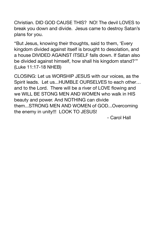Christian. DID GOD CAUSE THIS? NO! The devil LOVES to break you down and divide. Jesus came to destroy Satan's plans for you.

"But Jesus, knowing their thoughts, said to them, 'Every kingdom divided against itself is brought to desolation, and a house DIVIDED AGAINST ITSELF falls down. If Satan also be divided against himself, how shall his kingdom stand?'" (Luke 11:17-18 NHEB)

CLOSING: Let us WORSHIP JESUS with our voices, as the Spirit leads. Let us...HUMBLE OURSELVES to each other… and to the Lord. There will be a river of LOVE flowing and we WILL BE STONG MEN AND WOMEN who walk in HIS beauty and power. And NOTHING can divide them...STRONG MEN AND WOMEN of GOD...Overcoming the enemy in unity!!! LOOK TO JESUS! 

 - Carol Hall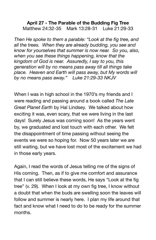#### **April 27 - The Parable of the Budding Fig Tree**  Matthew 24:32-35 Mark 13:28-31 Luke 21:29-33

*Then He spoke to them a parable: "Look at the fig tree, and all the trees. When they are already budding, you see and know for yourselves that summer is now near. So you, also, when you see these things happening, know that the kingdom of God is near. Assuredly, I say to you, this generation will by no means pass away till all things take place. Heaven and Earth will pass away, but My words will by no means pass away." Luke 21:29-33 NKJV* 

When I was in high school in the 1970's my friends and I were reading and passing around a book called *The Late Great Planet Earth* by Hal Lindsey. We talked about how exciting it was, even scary, that we were living in the last days! Surely Jesus was coming soon! As the years went by, we graduated and lost touch with each other. We felt the disappointment of time passing without seeing the events we were so hoping for. Now 50 years later we are still waiting, but we have lost most of the excitement we had in those early years.

Again, I read the words of Jesus telling me of the signs of His coming. Then, as if to give me comfort and assurance that I can still believe these words, He says "Look at the fig tree" (v. 29). When I look at my own fig tree, I know without a doubt that when the buds are swelling soon the leaves will follow and summer is nearly here. I plan my life around that fact and know what I need to do to be ready for the summer months.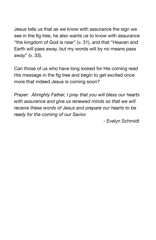Jesus tells us that as we know with assurance the sign we see in the fig tree, he also wants us to know with assurance "the kingdom of God is near" (v. 31), and that "Heaven and Earth will pass away, but my words will by no means pass away" (v. 33).

Can those of us who have long looked for His coming read His message in the fig tree and begin to get excited once more that indeed Jesus is coming soon?

*Prayer: Almighty Father, I pray that you will bless our hearts with assurance and give us renewed minds so that we will receive these words of Jesus and prepare our hearts to be ready for the coming of our Savior.* 

- Evelyn Schmidt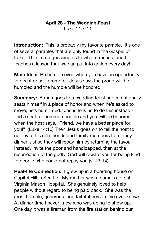#### **April 28 - The Wedding Feast**  Luke 14:7-11

**Introduction:** This is probably my favorite parable. It's one of several parables that are only found in the Gospel of Luke. There's no guessing as to what it means, and It teaches a lesson that we can put into action every day!

**Main Idea:** Be humble even when you have an opportunity to boast or self-promote. Jesus says the proud will be humbled and the humble will be honored.

**Summary:** A man goes to a wedding feast and intentionally seats himself in a place of honor and when he's asked to move, he's humiliated. Jesus tells us to do this instead find a seat for common people and you will be honored when the host says, "Friend, we have a better place for you!" (Luke 14:10) Then Jesus goes on to tell the host to not invite his rich friends and family members to a fancy dinner just so they will repay him by returning the favor. Instead, invite the poor and handicapped, then at the resurrection of the godly, God will reward you for being kind to people who could not repay you (v. 12-14).

**Real-life Connection:** I grew up in a boarding house on Capitol Hill in Seattle. My mother was a nurse's aide at Virginia Mason Hospital. She genuinely loved to help people without regard to being paid back. She was the most humble, generous, and faithful person I've ever known. At dinner time I never knew who was going to show up. One day it was a fireman from the fire station behind our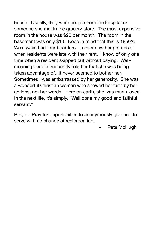house. Usually, they were people from the hospital or someone she met in the grocery store. The most expensive room in the house was \$20 per month. The room in the basement was only \$10. Keep in mind that this is 1950's. We always had four boarders. I never saw her get upset when residents were late with their rent. I know of only one time when a resident skipped out without paying. Wellmeaning people frequently told her that she was being taken advantage of. It never seemed to bother her. Sometimes I was embarrassed by her generosity. She was a wonderful Christian woman who showed her faith by her actions, not her words. Here on earth, she was much loved. In the next life, it's simply, "Well done my good and faithful servant."

Prayer: Pray for opportunities to anonymously give and to serve with no chance of reciprocation. 

Pete McHugh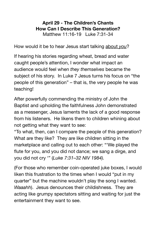#### **April 29 - The Children's Chants How Can I Describe This Generation?**  Matthew 11:16-19 Luke 7:31-34

How would it be to hear Jesus start talking about *you*?

If hearing his stories regarding wheat, bread and water caught people's attention, I wonder what impact an audience would feel when *they themselves* became the subject of his story. In Luke 7 Jesus turns his focus on "the people of this generation" – that is, the very people he was teaching!

After powerfully commending the ministry of John the Baptist and upholding the faithfulness John demonstrated as a messenger, Jesus laments the lack of a good response from his listeners. He likens them to children whining about not getting what they want to see:

"To what, then, can I compare the people of this generation? What are they like? They are like children sitting in the marketplace and calling out to each other: "'We played the flute for you, and you did not dance; we sang a dirge, and you did not cry '" (*Luke 7:31–32 NIV 1984).*

(For those who remember coin-operated juke boxes, I would liken this frustration to the times when I would "put in my quarter" but the machine wouldn't play the song I wanted. *Waaahh*). Jesus denounces their childishness. They are acting like grumpy spectators sitting and waiting for just the entertainment they want to see.